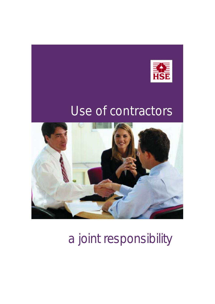



a joint responsibility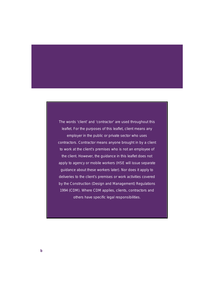The words 'client' and 'contractor' are used throughout this leaflet. For the purposes of this leaflet, client means any employer in the public or private sector who uses contractors. Contractor means anyone brought in by a client to work at the client's premises who is not an employee of the client. However, the guidance in this leaflet does not apply to agency or mobile workers (HSE will issue separate guidance about these workers later). Nor does it apply to deliveries to the client's premises or work activities covered by the Construction (Design and Management) Regulations 1994 (CDM). Where CDM applies, clients, contractors and others have specific legal responsibilities.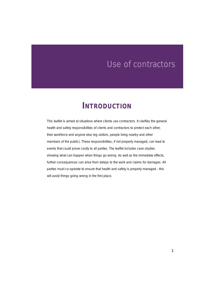### **INTRODUCTION**

This leaflet is aimed at situations where clients use contractors. It clarifies the general health and safety responsibilities of clients and contractors to protect each other, their workforce and anyone else (eg visitors, people living nearby and other members of the public). These responsibilities, if not properly managed, can lead to events that could prove costly to all parties. The leaflet includes case studies showing what can happen when things go wrong. As well as the immediate effects, further consequences can arise from delays to the work and claims for damages. All parties must co-operate to ensure that health and safety is properly managed - this will avoid things going wrong in the first place.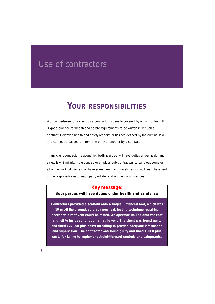### **YOUR RESPONSIBILITIES**

Work undertaken for a client by a contractor is usually covered by a civil contract. It is good practice for health and safety requirements to be written in to such a contract. However, health and safety responsibilities are defined by the criminal law and cannot be passed on from one party to another by a contract.

In any client/contractor relationship, **both parties** will have duties under health and safety law. Similarly, if the contractor employs sub-contractors to carry out some or all of the work, all parties will have some health and safety responsibilities. The extent of the responsibilities of each party will depend on the circumstances.

#### **Key message:**

#### **Both parties will have duties under health and safety law**

**Contractors provided a scaffold onto a fragile, unfenced roof, which was 10 m off the ground, so that a new leak testing technique requiring access to a roof vent could be tested. An operator walked onto the roof and fell to his death through a fragile vent. The client was found guilty and fined £27 000 plus costs for failing to provide adequate information and supervision. The contractor was found guilty and fined £3000 plus costs for failing to implement straightforward controls and safeguards.**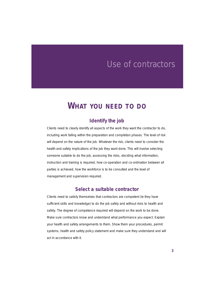### **WHAT YOU NEED TO DO**

#### **Identify the job**

Clients need to clearly identify all aspects of the work they want the contractor to do, including work falling within the preparation and completion phases. The level of risk will depend on the nature of the job. Whatever the risk, clients need to consider the health and safety implications of the job they want done. This will involve selecting someone suitable to do the job, assessing the risks, deciding what information, instruction and training is required, how co-operation and co-ordination between all parties is achieved, how the workforce is to be consulted and the level of management and supervision required.

#### **Select a suitable contractor**

Clients need to satisfy themselves that contractors are competent (ie they have sufficient skills and knowledge) to do the job safely and without risks to health and safety. The degree of competence required will depend on the work to be done. Make sure contractors know and understand what performance you expect. Explain your health and safety arrangements to them. Show them your procedures, permit systems, health and safety policy statement and make sure they understand and will act in accordance with it.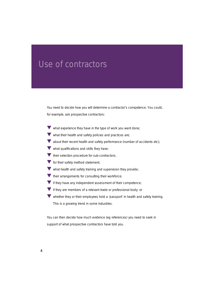You need to decide how you will determine a contractor's competence. You could, for example, ask prospective contractors:

- ▼ what experience they have in the type of work you want done;
- $\blacktriangledown$  what their health and safety policies and practices are;
- $\blacktriangledown$  about their recent health and safety performance (number of accidents etc);
- $\blacktriangledown$  what qualifications and skills they have:
- Their selection procedure for sub-contractors;
- $\blacktriangledown$  for their safety method statement:
- $\blacktriangledown$  what health and safety training and supervision they provide;
- $\blacktriangledown$  their arrangements for consulting their workforce;
- If they have any independent assessment of their competence;
- **V** if they are members of a relevant trade or professional body; or
- ▼ whether they or their employees hold a 'passport' in health and safety training. This is a growing trend in some industries.

You can then decide how much evidence (eg references) you need to seek in support of what prospective contractors have told you.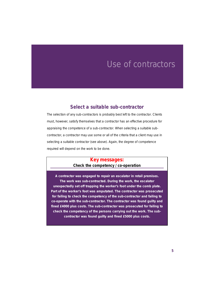#### **Select a suitable sub-contractor**

The selection of any sub-contractors is probably best left to the contractor. Clients must, however, satisfy themselves that a contractor has an effective procedure for appraising the competence of a sub-contractor. When selecting a suitable subcontractor, a contractor may use some or all of the criteria that a client may use in selecting a suitable contractor (see above). Again, the degree of competence required will depend on the work to be done.

#### **Key messages: Check the competency / co-operation**

**A contractor was engaged to repair an escalator in retail premises. The work was sub-contracted. During the work, the escalator unexpectedly set off trapping the worker's foot under the comb plate. Part of the worker's foot was amputated. The contractor was prosecuted for failing to check the competency of the sub-contractor and failing to co-operate with the sub-contractor. The contractor was found guilty and fined £4000 plus costs. The sub-contractor was prosecuted for failing to check the competency of the persons carrying out the work. The subcontractor was found guilty and fined £5000 plus costs.**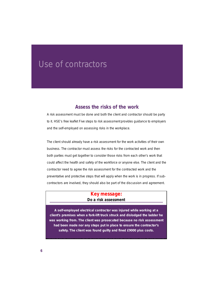#### **Assess the risks of the work**

A risk assessment must be done and both the client and contractor should be party to it. HSE's free leaflet *Five steps to risk assessment* provides guidance to employers and the self-employed on assessing risks in the workplace.

The client should already have a risk assessment for the work activities of their own business. The contractor must assess the risks for the contracted work and then both parties must get together to consider those risks from each other's work that could affect the health and safety of the workforce or anyone else. The client and the contractor need to agree the risk assessment for the contracted work and the preventative and protective steps that will apply when the work is in progress. If subcontractors are involved, they should also be part of the discussion and agreement.

#### **Key message: Do a risk assessment**

**A self-employed electrical contractor was injured while working at a client's premises when a fork-lift truck struck and dislodged the ladder he was working from. The client was prosecuted because no risk assessment had been made nor any steps put in place to ensure the contractor's** safety. The client was found quilty and fined £9000 plus costs.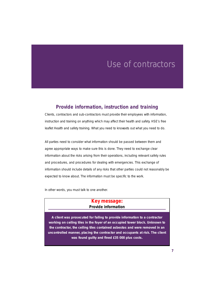#### **Provide information, instruction and training**

Clients, contractors and sub-contractors must provide their employees with information, instruction and training on anything which may affect their health and safety. HSE's free leaflet *Health and safety training. What you need to know*sets out what you need to do.

All parties need to consider what information should be passed between them and agree appropriate ways to make sure this is done. They need to exchange clear information about the risks arising from their operations, including relevant safety rules and procedures, and procedures for dealing with emergencies. This exchange of information should include details of any risks that other parties could not reasonably be expected to know about. The information must be specific to the work.

In other words, you must talk to one another.

#### **Key message: Provide information**

**A client was prosecuted for failing to provide information to a contractor working on ceiling tiles in the foyer of an occupied tower block. Unknown to the contractor, the ceiling tiles contained asbestos and were removed in an uncontrolled manner, placing the contractor and occupants at risk. The client was found guilty and fined £35 000 plus costs.**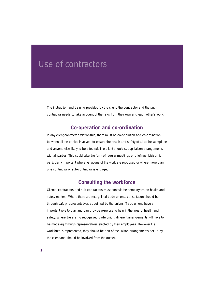The instruction and training provided by the client, the contractor and the subcontractor needs to take account of the risks from their own and each other's work.

#### **Co-operation and co-ordination**

In any client/contractor relationship, there must be co-operation and co-ordination between all the parties involved, to ensure the health and safety of all at the workplace and anyone else likely to be affected. The client should set up liaison arrangements with all parties. This could take the form of regular meetings or briefings. Liaison is particularly important where variations of the work are proposed or where more than one contractor or sub-contractor is engaged.

#### **Consulting the workforce**

Clients, contractors and sub-contractors must consult their employees on health and safety matters. Where there are recognised trade unions, consultation should be through safety representatives appointed by the unions. Trade unions have an important role to play and can provide expertise to help in the area of health and safety. Where there is no recognised trade union, different arrangements will have to be made eg through representatives elected by their employees. However the workforce is represented, they should be part of the liaison arrangements set up by the client and should be involved from the outset.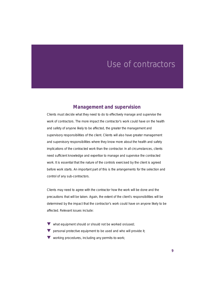#### **Management and supervision**

Clients must decide what they need to do to effectively manage and supervise the work of contractors. The more impact the contractor's work could have on the health and safety of anyone likely to be affected, the greater the management and supervisory responsibilities of the client. Clients will also have greater management and supervisory responsibilities where they know more about the health and safety implications of the contracted work than the contractor. In all circumstances, clients need sufficient knowledge and expertise to manage and supervise the contracted work. It is essential that the nature of the controls exercised by the client is agreed before work starts. An important part of this is the arrangements for the selection and control of any sub-contractors.

Clients may need to agree with the contractor how the work will be done and the precautions that will be taken. Again, the extent of the client's responsibilities will be determined by the impact that the contractor's work could have on anyone likely to be affected. Relevant issues include:

- ▼ what equipment should or should not be worked on/used;
- $\blacktriangledown$  personal protective equipment to be used and who will provide it;
- ◆ working procedures, including any permits-to-work;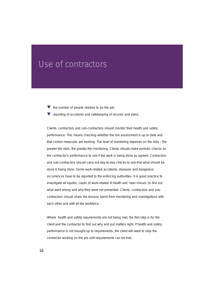- $\blacktriangledown$  the number of people needed to do the job;
- $\blacktriangledown$  reporting of accidents and safekeeping of records and plans.

Clients, contractors and sub-contractors should monitor their health and safety performance. This means checking whether the risk assessment is up to date and that control measures are working. The level of monitoring depends on the risks - the greater the risks, the greater the monitoring. Clients should make periodic checks on the contractor's performance to see if the work is being done as agreed. Contractors and sub-contractors should carry out day-to-day checks to see that what should be done is being done. Some work-related accidents, diseases and dangerous occurrences have to be reported to the enforcing authorities. It is good practice to investigate all injuries, cases of work-related ill health and 'near misses' to find out what went wrong and why they were not prevented. Clients, contractors and subcontractors should share the lessons learnt from monitoring and investigations with each other and with all the workforce.

Where health and safety requirements are not being met, the first step is for the client and the contractor to find out why and put matters right. If health and safety performance is not brought up to requirements, the client will need to stop the contractor working on the job until requirements can be met.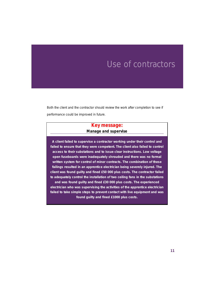Both the client and the contractor should review the work after completion to see if performance could be improved in future.

#### **Key message: Manage and supervise**

**A client failed to supervise a contractor working under their control and failed to ensure that they were competent. The client also failed to control access to their substations and to issue clear instructions. Low voltage open fuseboards were inadequately shrouded and there was no formal written system for control of minor contracts. The combination of these failings resulted in an apprentice electrician being severely injured. The client was found guilty and fined £50 000 plus costs. The contractor failed to adequately control the installation of two ceiling fans in the substations and was found guilty and fined £30 000 plus costs. The experienced electrician who was supervising the activities of the apprentice electrician failed to take simple steps to prevent contact with live equipment and was found guilty and fined £1000 plus costs.**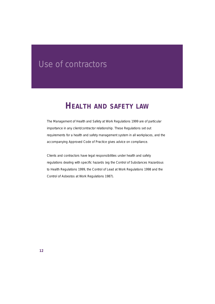### **HEALTH AND SAFETY LAW**

The Management of Health and Safety at Work Regulations 1999 are of particular importance in any client/contractor relationship. These Regulations set out requirements for a health and safety management system in all workplaces, and the accompanying Approved Code of Practice gives advice on compliance.

Clients and contractors have legal responsibilities under health and safety regulations dealing with specific hazards (eg the Control of Substances Hazardous to Health Regulations 1999, the Control of Lead at Work Regulations 1998 and the Control of Asbestos at Work Regulations 1987).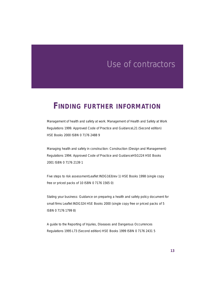### **FINDING FURTHER INFORMATION**

*Management of health and safety at work. Management of Health and Safety at Work Regulations 1999. Approved Code of Practice and Guidance*L21 (Second edition) HSE Books 2000 ISBN 0 7176 2488 9

*Managing health and safety in construction: Construction (Design and Management) Regulations 1994. Approved Code of Practice and Guidance*HSG224 HSE Books 2001 ISBN 0 7176 2139 1

Five steps to risk assessment Leaflet INDG163(rev 1) HSE Books 1998 (single copy free or priced packs of 10 ISBN 0 7176 1565 0)

*Stating your business: Guidance on preparing a health and safety policy document for small firms* Leaflet INDG324 HSE Books 2000 (single copy free or priced packs of 5 ISBN 0 7176 1799 8)

*A guide to the Reporting of Injuries, Diseases and Dangerous Occurrences Regulations 1995* L73 (Second edition) HSE Books 1999 ISBN 0 7176 2431 5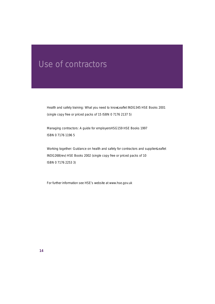*Health and safety training: What you need to know*Leaflet INDG345 HSE Books 2001 (single copy free or priced packs of 15 ISBN 0 7176 2137 5)

*Managing contractors: A guide for employers*HSG159 HSE Books 1997 ISBN 0 7176 1196 5

*Working together: Guidance on health and safety for contractors and suppliers eaflet* INDG268(rev) HSE Books 2002 (single copy free or priced packs of 10 ISBN 0 7176 2253 3)

For further information see HSE's website at www.hse.gov.uk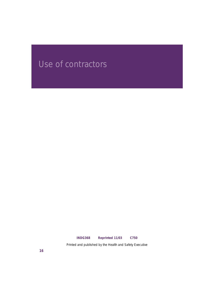#### **INDG368 Reprinted 11/03 C750**

Printed and published by the Health and Safety Executive